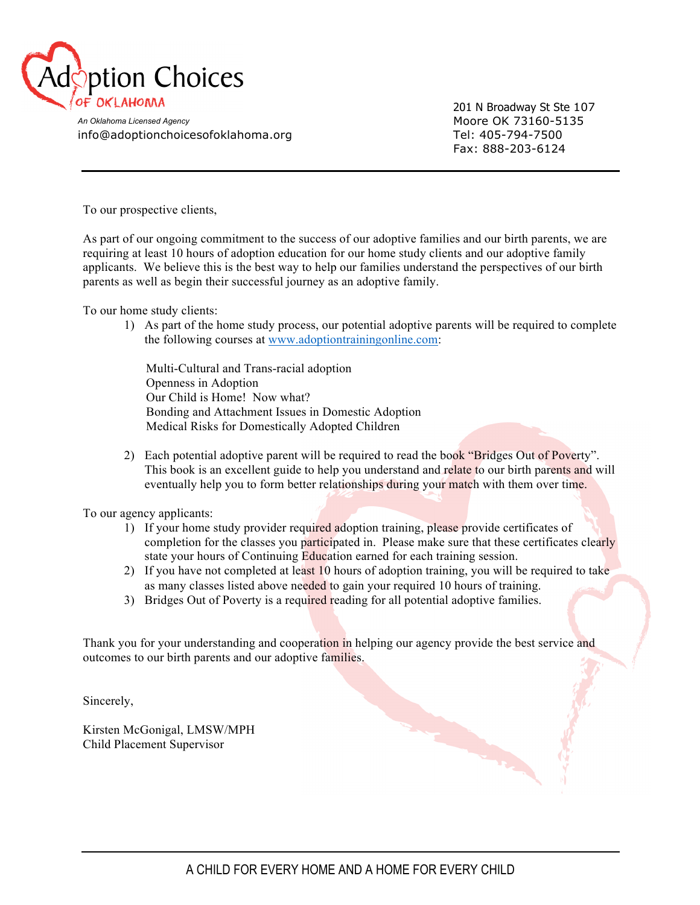

201 N Broadway St Ste 107 Fax: 888-203-6124

An Oklahoma Licensed Agency **Moore OK 73160-5135** info@adoptionchoicesofoklahoma.org Tel: 405-794-7500

To our prospective clients,

As part of our ongoing commitment to the success of our adoptive families and our birth parents, we are requiring at least 10 hours of adoption education for our home study clients and our adoptive family applicants. We believe this is the best way to help our families understand the perspectives of our birth parents as well as begin their successful journey as an adoptive family.

To our home study clients:

1) As part of the home study process, our potential adoptive parents will be required to complete the following courses at www.adoptiontrainingonline.com:

 Multi-Cultural and Trans-racial adoption Openness in Adoption Our Child is Home! Now what? Bonding and Attachment Issues in Domestic Adoption Medical Risks for Domestically Adopted Children

2) Each potential adoptive parent will be required to read the book "Bridges Out of Poverty". This book is an excellent guide to help you understand and relate to our birth parents and will eventually help you to form better relationships during your match with them over time.

To our agency applicants:

- 1) If your home study provider required adoption training, please provide certificates of completion for the classes you participated in. Please make sure that these certificates clearly state your hours of Continuing Education earned for each training session.
- 2) If you have not completed at least 10 hours of adoption training, you will be required to take as many classes listed above needed to gain your required 10 hours of training.
- 3) Bridges Out of Poverty is a required reading for all potential adoptive families.

Thank you for your understanding and cooperation in helping our agency provide the best service and outcomes to our birth parents and our adoptive families.

Sincerely,

Kirsten McGonigal, LMSW/MPH Child Placement Supervisor